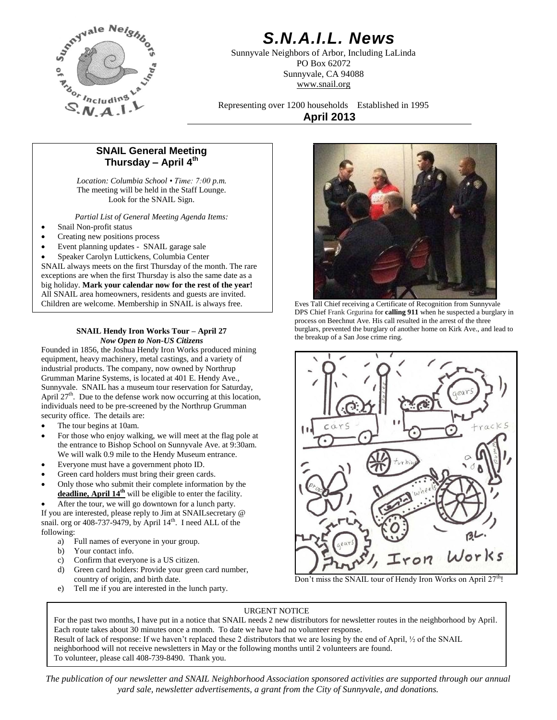

# *S.N.A.I.L. News*

Sunnyvale Neighbors of Arbor, Including LaLinda PO Box 62072 Sunnyvale, CA 94088 www.snail.org

Representing over 1200 households Established in 1995 **April 2013**

# **SNAIL General Meeting Thursday – April 4 th**

*Location: Columbia School • Time: 7:00 p.m.* The meeting will be held in the Staff Lounge. Look for the SNAIL Sign.

*Partial List of General Meeting Agenda Items:*

- Snail Non-profit status
- Creating new positions process
- Event planning updates SNAIL garage sale

 Speaker Carolyn Luttickens, Columbia Center SNAIL always meets on the first Thursday of the month. The rare exceptions are when the first Thursday is also the same date as a big holiday. **Mark your calendar now for the rest of the year!** All SNAIL area homeowners, residents and guests are invited. Children are welcome. Membership in SNAIL is always free.

# **SNAIL Hendy Iron Works Tour – April 27** *Now Open to Non-US Citizens*

Founded in 1856, the Joshua Hendy Iron Works produced mining equipment, heavy machinery, metal castings, and a variety of industrial products. The company, now owned by Northrup Grumman Marine Systems, is located at 401 E. Hendy Ave., Sunnyvale. SNAIL has a museum tour reservation for Saturday, April  $27<sup>th</sup>$ . Due to the defense work now occurring at this location, individuals need to be pre-screened by the Northrup Grumman security office. The details are:

- The tour begins at 10am.
- For those who enjoy walking, we will meet at the flag pole at the entrance to Bishop School on Sunnyvale Ave. at 9:30am. We will walk 0.9 mile to the Hendy Museum entrance.
- Everyone must have a government photo ID.
- Green card holders must bring their green cards.
- Only those who submit their complete information by the **deadline, April 14th** will be eligible to enter the facility.

After the tour, we will go downtown for a lunch party.

If you are interested, please reply to Jim at SNAILsecretary @ snail. org or  $408-737-9479$ , by April  $14<sup>th</sup>$ . I need ALL of the following:

- a) Full names of everyone in your group.
- b) Your contact info.
- c) Confirm that everyone is a US citizen.
- d) Green card holders: Provide your green card number, country of origin, and birth date.
- e) Tell me if you are interested in the lunch party.



Eves Tall Chief receiving a Certificate of Recognition from Sunnyvale DPS Chief Frank Grgurina for **calling 911** when he suspected a burglary in process on Beechnut Ave. His call resulted in the arrest of the three burglars, prevented the burglary of another home on Kirk Ave., and lead to the breakup of a San Jose crime ring.



Don't miss the SNAIL tour of Hendy Iron Works on April 27<sup>th</sup>!

# URGENT NOTICE

**Well Done, Chief!!** To volunteer, please call 408-739-8490. Thank you. For the past two months, I have put in a notice that SNAIL needs 2 new distributors for newsletter routes in the neighborhood by April. Each route takes about 30 minutes once a month. To date we have had no volunteer response. Result of lack of response: If we haven't replaced these 2 distributors that we are losing by the end of April, ½ of the SNAIL neighborhood will not receive newsletters in May or the following months until 2 volunteers are found. Connie Cook-Turner, Newsletter Distribution Coordinator

*The publication of our newsletter and SNAIL Neighborhood Association sponsored activities are supported through our annual yard sale, newsletter advertisements, a grant from the City of Sunnyvale, and donations.*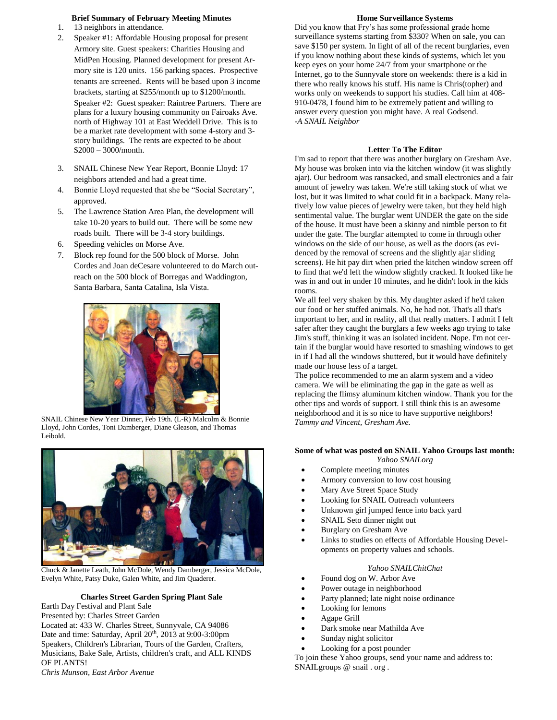# **Brief Summary of February Meeting Minutes**

- 1. 13 neighbors in attendance.
- 2. Speaker #1: Affordable Housing proposal for present Armory site. Guest speakers: Charities Housing and MidPen Housing. Planned development for present Armory site is 120 units. 156 parking spaces. Prospective tenants are screened. Rents will be based upon 3 income brackets, starting at \$255/month up to \$1200/month. Speaker #2: Guest speaker: Raintree Partners. There are plans for a luxury housing community on Fairoaks Ave. north of Highway 101 at East Weddell Drive. This is to be a market rate development with some 4-story and 3 story buildings. The rents are expected to be about \$2000 – 3000/month.
- 3. SNAIL Chinese New Year Report, Bonnie Lloyd: 17 neighbors attended and had a great time.
- 4. Bonnie Lloyd requested that she be "Social Secretary", approved.
- 5. The Lawrence Station Area Plan, the development will take 10-20 years to build out. There will be some new roads built. There will be 3-4 story buildings.
- 6. Speeding vehicles on Morse Ave.
- 7. Block rep found for the 500 block of Morse. John Cordes and Joan deCesare volunteered to do March outreach on the 500 block of Borregas and Waddington, Santa Barbara, Santa Catalina, Isla Vista.



SNAIL Chinese New Year Dinner, Feb 19th. (L-R) Malcolm & Bonnie Lloyd, John Cordes, Toni Damberger, Diane Gleason, and Thomas Leibold.



Chuck & Janette Leath, John McDole, Wendy Damberger, Jessica McDole, Evelyn White, Patsy Duke, Galen White, and Jim Quaderer.

# **Charles Street Garden Spring Plant Sale**

Earth Day Festival and Plant Sale

Presented by: Charles Street Garden Located at: 433 W. Charles Street, Sunnyvale, CA 94086 Date and time: Saturday, April 20<sup>th</sup>, 2013 at 9:00-3:00pm Speakers, Children's Librarian, Tours of the Garden, Crafters, Musicians, Bake Sale, Artists, children's craft, and ALL KINDS OF PLANTS!

# **Home Surveillance Systems**

Did you know that Fry's has some professional grade home surveillance systems starting from \$330? When on sale, you can save \$150 per system. In light of all of the recent burglaries, even if you know nothing about these kinds of systems, which let you keep eyes on your home 24/7 from your smartphone or the Internet, go to the Sunnyvale store on weekends: there is a kid in there who really knows his stuff. His name is Chris(topher) and works only on weekends to support his studies. Call him at 408- 910-0478, I found him to be extremely patient and willing to answer every question you might have. A real Godsend. *-A SNAIL Neighbor*

# **Letter To The Editor**

I'm sad to report that there was another burglary on Gresham Ave. My house was broken into via the kitchen window (it was slightly ajar). Our bedroom was ransacked, and small electronics and a fair amount of jewelry was taken. We're still taking stock of what we lost, but it was limited to what could fit in a backpack. Many relatively low value pieces of jewelry were taken, but they held high sentimental value. The burglar went UNDER the gate on the side of the house. It must have been a skinny and nimble person to fit under the gate. The burglar attempted to come in through other windows on the side of our house, as well as the doors (as evidenced by the removal of screens and the slightly ajar sliding screens). He hit pay dirt when pried the kitchen window screen off to find that we'd left the window slightly cracked. It looked like he was in and out in under 10 minutes, and he didn't look in the kids rooms.

We all feel very shaken by this. My daughter asked if he'd taken our food or her stuffed animals. No, he had not. That's all that's important to her, and in reality, all that really matters. I admit I felt safer after they caught the burglars a few weeks ago trying to take Jim's stuff, thinking it was an isolated incident. Nope. I'm not certain if the burglar would have resorted to smashing windows to get in if I had all the windows shuttered, but it would have definitely made our house less of a target.

The police recommended to me an alarm system and a video camera. We will be eliminating the gap in the gate as well as replacing the flimsy aluminum kitchen window. Thank you for the other tips and words of support. I still think this is an awesome neighborhood and it is so nice to have supportive neighbors! *Tammy and Vincent, Gresham Ave.*

## **Some of what was posted on SNAIL Yahoo Groups last month:** *Yahoo SNAILorg*

- Complete meeting minutes
- Armory conversion to low cost housing
- Mary Ave Street Space Study
- Looking for SNAIL Outreach volunteers
- Unknown girl jumped fence into back yard
- SNAIL Seto dinner night out
- Burglary on Gresham Ave
- Links to studies on effects of Affordable Housing Developments on property values and schools.

## *Yahoo SNAILChitChat*

- Found dog on W. Arbor Ave
- Power outage in neighborhood
- Party planned; late night noise ordinance
- Looking for lemons
- Agape Grill
- Dark smoke near Mathilda Ave
- Sunday night solicitor
- Looking for a post pounder

To join these Yahoo groups, send your name and address to: SNAILgroups @ snail . org.

*Chris Munson, East Arbor Avenue*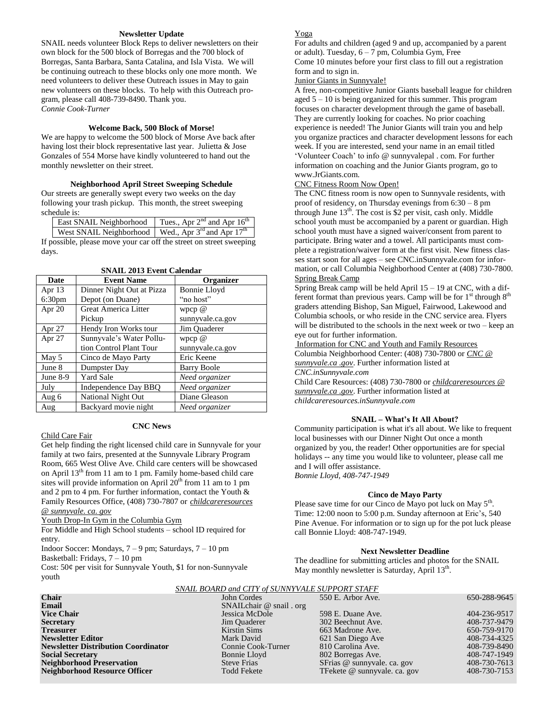### **Newsletter Update**

SNAIL needs volunteer Block Reps to deliver newsletters on their own block for the 500 block of Borregas and the 700 block of Borregas, Santa Barbara, Santa Catalina, and Isla Vista. We will be continuing outreach to these blocks only one more month. We need volunteers to deliver these Outreach issues in May to gain new volunteers on these blocks. To help with this Outreach program, please call 408-739-8490. Thank you. *Connie Cook-Turner*

### **Welcome Back, 500 Block of Morse!**

We are happy to welcome the 500 block of Morse Ave back after having lost their block representative last year. Julietta & Jose Gonzales of 554 Morse have kindly volunteered to hand out the monthly newsletter on their street.

# **Neighborhood April Street Sweeping Schedule**

Our streets are generally swept every two weeks on the day following your trash pickup. This month, the street sweeping schedule is:

| <b>East SNAIL Neighborhood</b> Tues., Apr $2^{nd}$ and Apr $16^{th}$ |  |
|----------------------------------------------------------------------|--|
| West SNAIL Neighborhood   Wed., Apr $3^{rd}$ and Apr $17^{th}$       |  |

If possible, please move your car off the street on street sweeping days.

| Date               | <b>Event Name</b>           | Organizer          |
|--------------------|-----------------------------|--------------------|
| Apr 13             | Dinner Night Out at Pizza   | Bonnie Lloyd       |
| 6:30 <sub>pm</sub> | Depot (on Duane)            | "no host"          |
| Apr 20             | <b>Great America Litter</b> | wpcp $@$           |
|                    | Pickup                      | sunnyvale.ca.gov   |
| Apr 27             | Hendy Iron Works tour       | Jim Quaderer       |
| Apr 27             | Sunnyvale's Water Pollu-    | wpcp $@$           |
|                    | tion Control Plant Tour     | sunnyvale.ca.gov   |
| May 5              | Cinco de Mayo Party         | Eric Keene         |
| June 8             | Dumpster Day                | <b>Barry Boole</b> |
| June 8-9           | <b>Yard Sale</b>            | Need organizer     |
| July               | Independence Day BBQ        | Need organizer     |
| Aug 6              | <b>National Night Out</b>   | Diane Gleason      |
| Aug                | Backyard movie night        | Need organizer     |

#### **SNAIL 2013 Event Calendar**

# **CNC News**

Child Care Fair Get help finding the right licensed child care in Sunnyvale for your family at two fairs, presented at the Sunnyvale Library Program Room, 665 West Olive Ave. Child care centers will be showcased on April 13th from 11 am to 1 pm. Family home-based child care sites will provide information on April  $20<sup>th</sup>$  from 11 am to 1 pm and 2 pm to 4 pm. For further information, contact the Youth & Family Resources Office, (408) 730-7807 or *[childcareresources](mailto:childcareresources@sunnyvale.ca.gov)  [@ sunnyvale. ca. gov](mailto:childcareresources@sunnyvale.ca.gov)*

Youth Drop-In Gym in the Columbia Gym

For Middle and High School students – school ID required for entry.

Indoor Soccer: Mondays, 7 – 9 pm; Saturdays, 7 – 10 pm Basketball: Fridays, 7 – 10 pm

Cost: 50¢ per visit for Sunnyvale Youth, \$1 for non-Sunnyvale youth

# Yoga

For adults and children (aged 9 and up, accompanied by a parent or adult). Tuesday, 6 – 7 pm, Columbia Gym, Free

Come 10 minutes before your first class to fill out a registration form and to sign in.

#### Junior Giants in Sunnyvale!

A free, non-competitive Junior Giants baseball league for children aged 5 – 10 is being organized for this summer. This program focuses on character development through the game of baseball. They are currently looking for coaches. No prior coaching experience is needed! The Junior Giants will train you and help you organize practices and character development lessons for each week. If you are interested, send your name in an email titled 'Volunteer Coach' to info @ sunnyvalepal . com. For further information on coaching and the Junior Giants program, go to www.JrGiants.com.

#### CNC Fitness Room Now Open!

The CNC fitness room is now open to Sunnyvale residents, with proof of residency, on Thursday evenings from 6:30 – 8 pm through June  $13<sup>th</sup>$ . The cost is \$2 per visit, cash only. Middle school youth must be accompanied by a parent or guardian. High school youth must have a signed waiver/consent from parent to participate. Bring water and a towel. All participants must complete a registration/waiver form at the first visit. New fitness classes start soon for all ages – see CNC.inSunnyvale.com for information, or call Columbia Neighborhood Center at (408) 730-7800. Spring Break Camp

Spring Break camp will be held April  $15 - 19$  at CNC, with a different format than previous years. Camp will be for  $1<sup>st</sup>$  through  $8<sup>th</sup>$ graders attending Bishop, San Miguel, Fairwood, Lakewood and Columbia schools, or who reside in the CNC service area. Flyers will be distributed to the schools in the next week or two – keep an eye out for further information.

Information for CNC and Youth and Family Resources Columbia Neighborhood Center: (408) 730-7800 or *[CNC @](mailto:CNC@sunnyvale.ca.gov)  [sunnyvale.ca .gov](mailto:CNC@sunnyvale.ca.gov)*. Further information listed at *CNC.inSunnyvale.com*

Child Care Resources: (408) 730-7800 or *[childcareresources @](mailto:childcareresources@sunnyvale.ca.gov)  [sunnyvale.ca .gov](mailto:childcareresources@sunnyvale.ca.gov)*. Further information listed at *childcareresources.inSunnyvale.com*

#### **SNAIL – What's It All About?**

Community participation is what it's all about. We like to frequent local businesses with our Dinner Night Out once a month organized by you, the reader! Other opportunities are for special holidays -- any time you would like to volunteer, please call me and I will offer assistance. *Bonnie Lloyd, 408-747-1949* 

# **Cinco de Mayo Party**

Please save time for our Cinco de Mayo pot luck on May 5<sup>th</sup>. Time: 12:00 noon to 5:00 p.m. Sunday afternoon at Eric's, 540 Pine Avenue. For information or to sign up for the pot luck please call Bonnie Lloyd: 408-747-1949.

#### **Next Newsletter Deadline**

The deadline for submitting articles and photos for the SNAIL May monthly newsletter is Saturday, April 13<sup>th</sup>.

#### *SNAIL BOARD and CITY of SUNNYVALE SUPPORT STAFF*

| <u> shind bornto ana cill of somme mille sol i oltre sini i</u> |                             |                              |              |  |
|-----------------------------------------------------------------|-----------------------------|------------------------------|--------------|--|
| <b>Chair</b>                                                    | John Cordes                 | 550 E. Arbor Ave.            | 650-288-9645 |  |
| Email                                                           | SNAIL chair $@$ snail . org |                              |              |  |
| <b>Vice Chair</b>                                               | Jessica McDole              | 598 E. Duane Ave.            | 404-236-9517 |  |
| <b>Secretary</b>                                                | Jim Quaderer                | 302 Beechnut Ave.            | 408-737-9479 |  |
| <b>Treasurer</b>                                                | Kirstin Sims                | 663 Madrone Ave.             | 650-759-9170 |  |
| Newsletter Editor                                               | Mark David                  | 621 San Diego Ave            | 408-734-4325 |  |
| <b>Newsletter Distribution Coordinator</b>                      | Connie Cook-Turner          | 810 Carolina Ave.            | 408-739-8490 |  |
| <b>Social Secretary</b>                                         | Bonnie Lloyd                | 802 Borregas Ave.            | 408-747-1949 |  |
| <b>Neighborhood Preservation</b>                                | <b>Steve Frias</b>          | SFrias @ sunnyvale. ca. gov  | 408-730-7613 |  |
| Neighborhood Resource Officer                                   | <b>Todd Fekete</b>          | TFekete @ sunnyvale. ca. gov | 408-730-7153 |  |
|                                                                 |                             |                              |              |  |